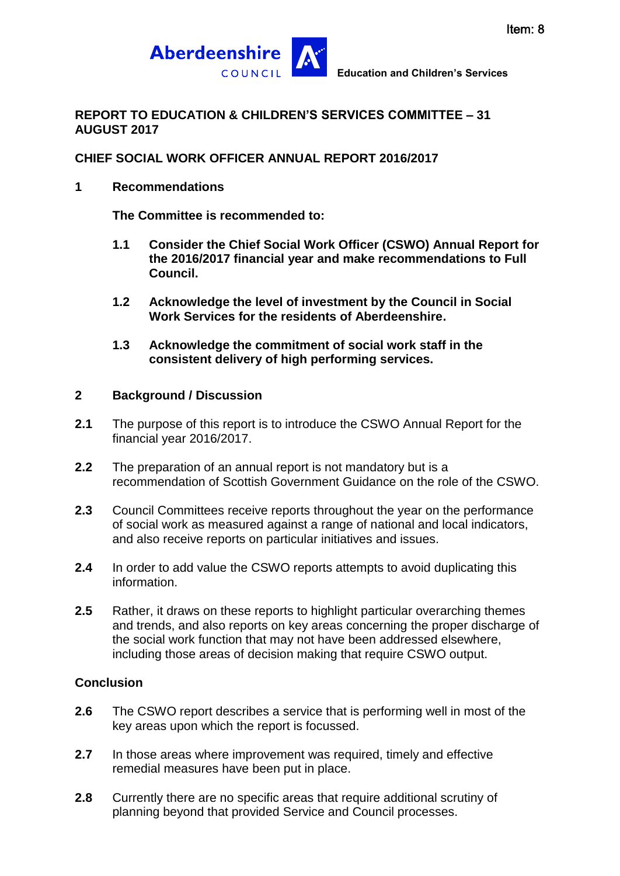

#### **REPORT TO EDUCATION & CHILDREN'S SERVICES COMMITTEE – 31 AUGUST 2017**

#### **CHIEF SOCIAL WORK OFFICER ANNUAL REPORT 2016/2017**

#### **1 Recommendations**

**The Committee is recommended to:**

- **1.1 Consider the Chief Social Work Officer (CSWO) Annual Report for the 2016/2017 financial year and make recommendations to Full Council.**
- **1.2 Acknowledge the level of investment by the Council in Social Work Services for the residents of Aberdeenshire.**
- **1.3 Acknowledge the commitment of social work staff in the consistent delivery of high performing services.**

#### **2 Background / Discussion**

- **2.1** The purpose of this report is to introduce the CSWO Annual Report for the financial year 2016/2017.
- **2.2** The preparation of an annual report is not mandatory but is a recommendation of Scottish Government Guidance on the role of the CSWO.
- **2.3** Council Committees receive reports throughout the year on the performance of social work as measured against a range of national and local indicators, and also receive reports on particular initiatives and issues.
- **2.4** In order to add value the CSWO reports attempts to avoid duplicating this information.
- **2.5** Rather, it draws on these reports to highlight particular overarching themes and trends, and also reports on key areas concerning the proper discharge of the social work function that may not have been addressed elsewhere, including those areas of decision making that require CSWO output.

## **Conclusion**

- **2.6** The CSWO report describes a service that is performing well in most of the key areas upon which the report is focussed.
- **2.7** In those areas where improvement was required, timely and effective remedial measures have been put in place.
- **2.8** Currently there are no specific areas that require additional scrutiny of planning beyond that provided Service and Council processes.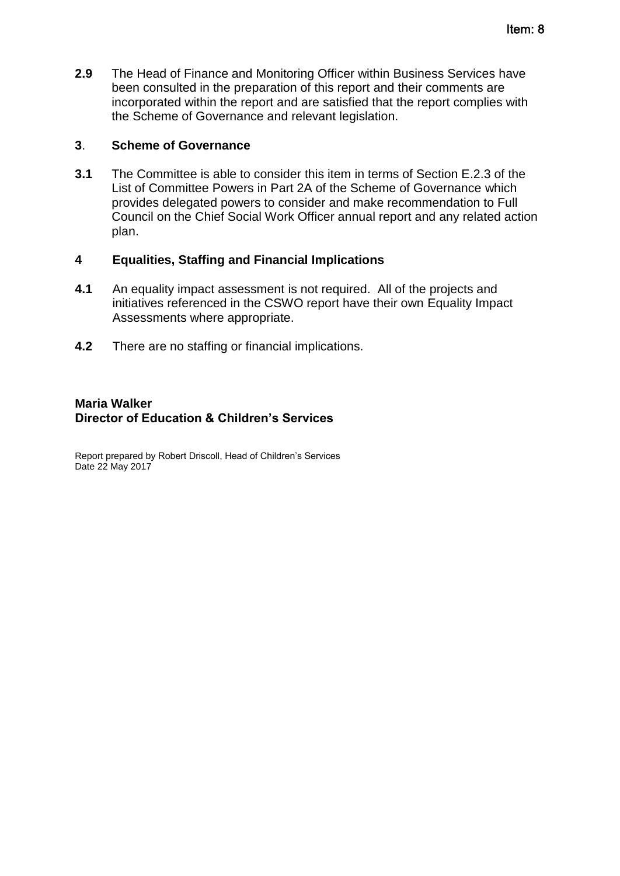**2.9** The Head of Finance and Monitoring Officer within Business Services have been consulted in the preparation of this report and their comments are incorporated within the report and are satisfied that the report complies with the Scheme of Governance and relevant legislation.

#### **3**. **Scheme of Governance**

**3.1** The Committee is able to consider this item in terms of Section E.2.3 of the List of Committee Powers in Part 2A of the Scheme of Governance which provides delegated powers to consider and make recommendation to Full Council on the Chief Social Work Officer annual report and any related action plan.

#### **4 Equalities, Staffing and Financial Implications**

- **4.1** An equality impact assessment is not required. All of the projects and initiatives referenced in the CSWO report have their own Equality Impact Assessments where appropriate.
- **4.2** There are no staffing or financial implications.

#### **Maria Walker Director of Education & Children's Services**

Report prepared by Robert Driscoll, Head of Children's Services Date 22 May 2017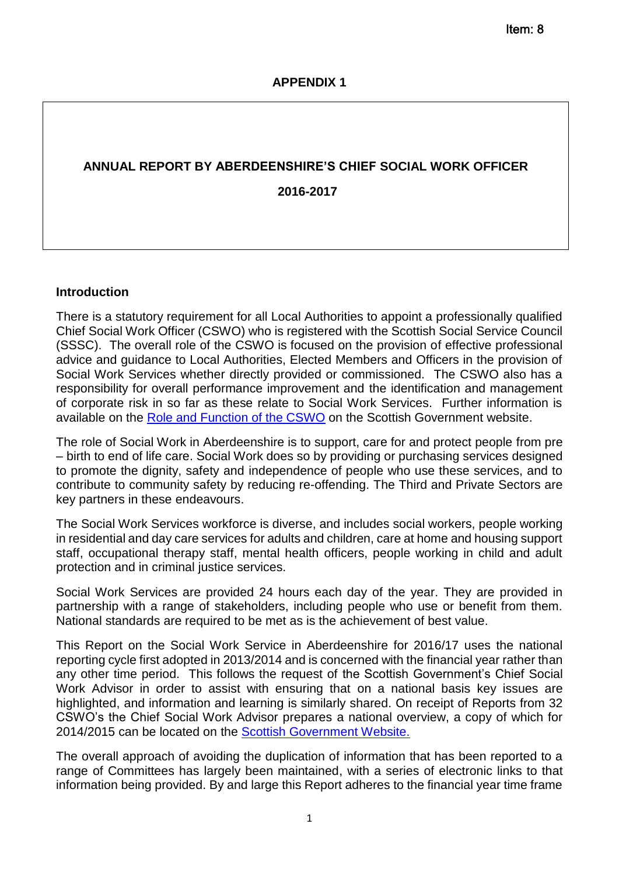# **ANNUAL REPORT BY ABERDEENSHIRE'S CHIEF SOCIAL WORK OFFICER 2016-2017**

#### **Introduction**

There is a statutory requirement for all Local Authorities to appoint a professionally qualified Chief Social Work Officer (CSWO) who is registered with the Scottish Social Service Council (SSSC). The overall role of the CSWO is focused on the provision of effective professional advice and guidance to Local Authorities, Elected Members and Officers in the provision of Social Work Services whether directly provided or commissioned. The CSWO also has a responsibility for overall performance improvement and the identification and management of corporate risk in so far as these relate to Social Work Services. Further information is available on the [Role and Function of the CSWO](http://www.scotland.gov.uk/Publications/2010/01/27154047/1) on the Scottish Government website.

The role of Social Work in Aberdeenshire is to support, care for and protect people from pre – birth to end of life care. Social Work does so by providing or purchasing services designed to promote the dignity, safety and independence of people who use these services, and to contribute to community safety by reducing re-offending. The Third and Private Sectors are key partners in these endeavours.

The Social Work Services workforce is diverse, and includes social workers, people working in residential and day care services for adults and children, care at home and housing support staff, occupational therapy staff, mental health officers, people working in child and adult protection and in criminal justice services.

Social Work Services are provided 24 hours each day of the year. They are provided in partnership with a range of stakeholders, including people who use or benefit from them. National standards are required to be met as is the achievement of best value.

This Report on the Social Work Service in Aberdeenshire for 2016/17 uses the national reporting cycle first adopted in 2013/2014 and is concerned with the financial year rather than any other time period. This follows the request of the Scottish Government's Chief Social Work Advisor in order to assist with ensuring that on a national basis key issues are highlighted, and information and learning is similarly shared. On receipt of Reports from 32 CSWO's the Chief Social Work Advisor prepares a national overview, a copy of which for 2014/2015 can be located on the [Scottish Government Website.](http://www.gov.scot/Topics/People/social-services-workforce/people/cswa-annual-reports)

The overall approach of avoiding the duplication of information that has been reported to a range of Committees has largely been maintained, with a series of electronic links to that information being provided. By and large this Report adheres to the financial year time frame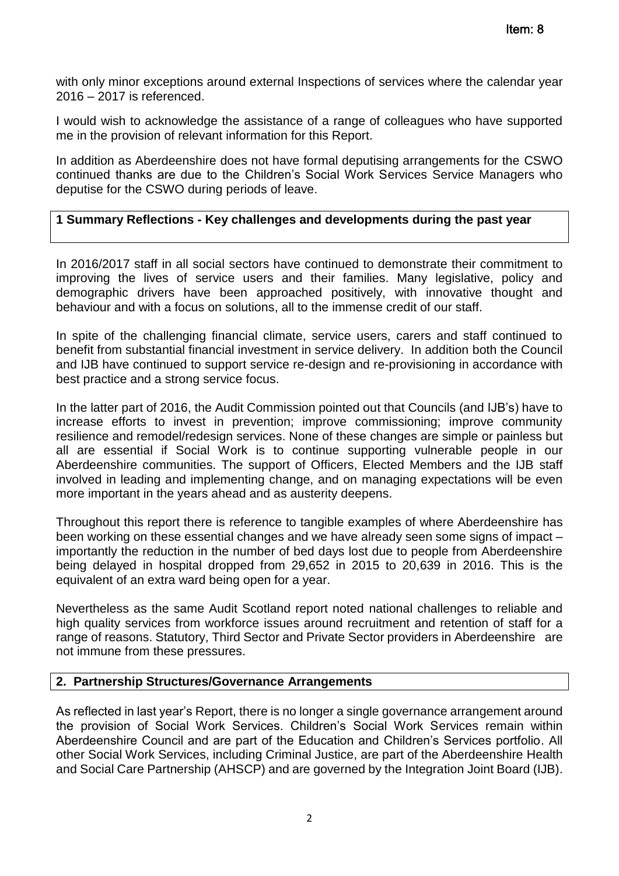with only minor exceptions around external Inspections of services where the calendar year 2016 – 2017 is referenced.

I would wish to acknowledge the assistance of a range of colleagues who have supported me in the provision of relevant information for this Report.

In addition as Aberdeenshire does not have formal deputising arrangements for the CSWO continued thanks are due to the Children's Social Work Services Service Managers who deputise for the CSWO during periods of leave.

#### **1 Summary Reflections - Key challenges and developments during the past year**

In 2016/2017 staff in all social sectors have continued to demonstrate their commitment to improving the lives of service users and their families. Many legislative, policy and demographic drivers have been approached positively, with innovative thought and behaviour and with a focus on solutions, all to the immense credit of our staff.

In spite of the challenging financial climate, service users, carers and staff continued to benefit from substantial financial investment in service delivery. In addition both the Council and IJB have continued to support service re-design and re-provisioning in accordance with best practice and a strong service focus.

In the latter part of 2016, the Audit Commission pointed out that Councils (and IJB's) have to increase efforts to invest in prevention; improve commissioning; improve community resilience and remodel/redesign services. None of these changes are simple or painless but all are essential if Social Work is to continue supporting vulnerable people in our Aberdeenshire communities. The support of Officers, Elected Members and the IJB staff involved in leading and implementing change, and on managing expectations will be even more important in the years ahead and as austerity deepens.

Throughout this report there is reference to tangible examples of where Aberdeenshire has been working on these essential changes and we have already seen some signs of impact – importantly the reduction in the number of bed days lost due to people from Aberdeenshire being delayed in hospital dropped from 29,652 in 2015 to 20,639 in 2016. This is the equivalent of an extra ward being open for a year.

Nevertheless as the same Audit Scotland report noted national challenges to reliable and high quality services from workforce issues around recruitment and retention of staff for a range of reasons. Statutory, Third Sector and Private Sector providers in Aberdeenshire are not immune from these pressures.

#### **2. Partnership Structures/Governance Arrangements**

As reflected in last year's Report, there is no longer a single governance arrangement around the provision of Social Work Services. Children's Social Work Services remain within Aberdeenshire Council and are part of the Education and Children's Services portfolio. All other Social Work Services, including Criminal Justice, are part of the Aberdeenshire Health and Social Care Partnership (AHSCP) and are governed by the Integration Joint Board (IJB).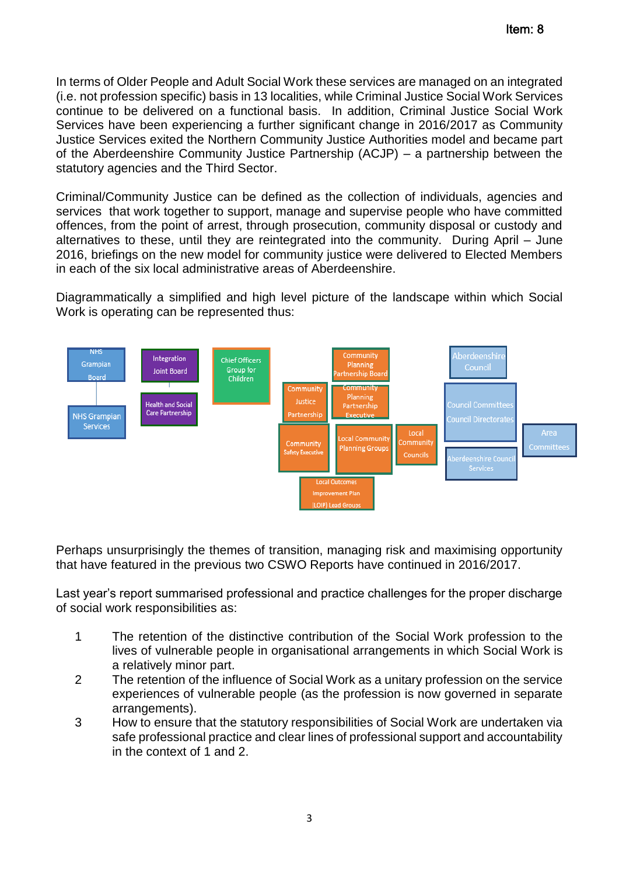In terms of Older People and Adult Social Work these services are managed on an integrated (i.e. not profession specific) basis in 13 localities, while Criminal Justice Social Work Services continue to be delivered on a functional basis. In addition, Criminal Justice Social Work Services have been experiencing a further significant change in 2016/2017 as Community Justice Services exited the Northern Community Justice Authorities model and became part of the Aberdeenshire Community Justice Partnership (ACJP) – a partnership between the statutory agencies and the Third Sector.

Criminal/Community Justice can be defined as the collection of individuals, agencies and services that work together to support, manage and supervise people who have committed offences, from the point of arrest, through prosecution, community disposal or custody and alternatives to these, until they are reintegrated into the community. During April – June 2016, briefings on the new model for community justice were delivered to Elected Members in each of the six local administrative areas of Aberdeenshire.

Diagrammatically a simplified and high level picture of the landscape within which Social Work is operating can be represented thus:



Perhaps unsurprisingly the themes of transition, managing risk and maximising opportunity that have featured in the previous two CSWO Reports have continued in 2016/2017.

Last year's report summarised professional and practice challenges for the proper discharge of social work responsibilities as:

- 1 The retention of the distinctive contribution of the Social Work profession to the lives of vulnerable people in organisational arrangements in which Social Work is a relatively minor part.
- 2 The retention of the influence of Social Work as a unitary profession on the service experiences of vulnerable people (as the profession is now governed in separate arrangements).
- 3 How to ensure that the statutory responsibilities of Social Work are undertaken via safe professional practice and clear lines of professional support and accountability in the context of 1 and 2.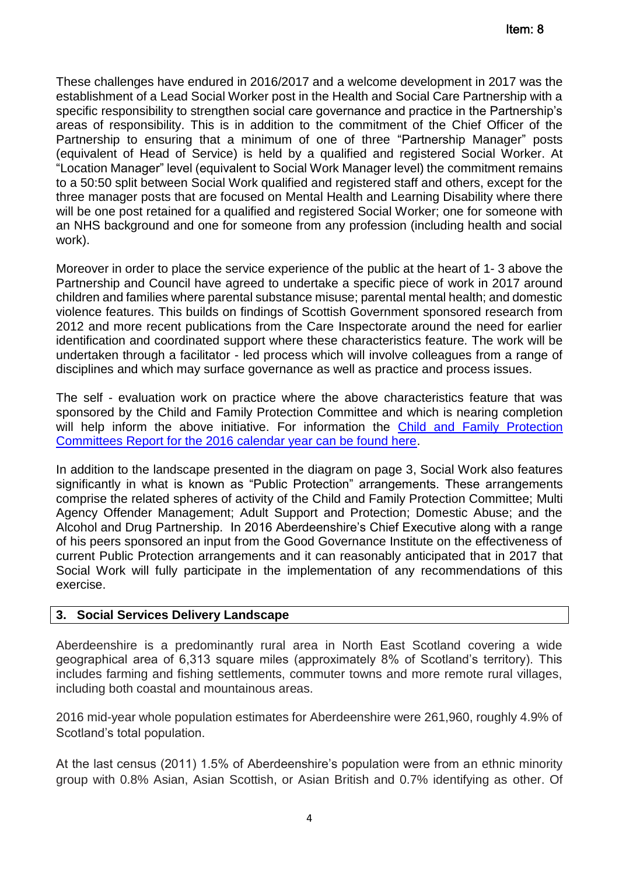These challenges have endured in 2016/2017 and a welcome development in 2017 was the establishment of a Lead Social Worker post in the Health and Social Care Partnership with a specific responsibility to strengthen social care governance and practice in the Partnership's areas of responsibility. This is in addition to the commitment of the Chief Officer of the Partnership to ensuring that a minimum of one of three "Partnership Manager" posts (equivalent of Head of Service) is held by a qualified and registered Social Worker. At "Location Manager" level (equivalent to Social Work Manager level) the commitment remains to a 50:50 split between Social Work qualified and registered staff and others, except for the three manager posts that are focused on Mental Health and Learning Disability where there will be one post retained for a qualified and registered Social Worker; one for someone with an NHS background and one for someone from any profession (including health and social work).

Moreover in order to place the service experience of the public at the heart of 1- 3 above the Partnership and Council have agreed to undertake a specific piece of work in 2017 around children and families where parental substance misuse; parental mental health; and domestic violence features. This builds on findings of Scottish Government sponsored research from 2012 and more recent publications from the Care Inspectorate around the need for earlier identification and coordinated support where these characteristics feature. The work will be undertaken through a facilitator - led process which will involve colleagues from a range of disciplines and which may surface governance as well as practice and process issues.

The self - evaluation work on practice where the above characteristics feature that was sponsored by the Child and Family Protection Committee and which is nearing completion will help inform the above initiative. For information the Child and Family Protection [Committees Report for the 2016 calendar year can be found here.](http://www.girfec-aberdeenshire.org/wp-content/uploads/2017/05/CFPC-Annual-Report-2016-Final-Version.docx)

In addition to the landscape presented in the diagram on page 3, Social Work also features significantly in what is known as "Public Protection" arrangements. These arrangements comprise the related spheres of activity of the Child and Family Protection Committee; Multi Agency Offender Management; Adult Support and Protection; Domestic Abuse; and the Alcohol and Drug Partnership. In 2016 Aberdeenshire's Chief Executive along with a range of his peers sponsored an input from the Good Governance Institute on the effectiveness of current Public Protection arrangements and it can reasonably anticipated that in 2017 that Social Work will fully participate in the implementation of any recommendations of this exercise.

## **3. Social Services Delivery Landscape**

Aberdeenshire is a predominantly rural area in North East Scotland covering a wide geographical area of 6,313 square miles (approximately 8% of Scotland's territory). This includes farming and fishing settlements, commuter towns and more remote rural villages, including both coastal and mountainous areas.

2016 mid-year whole population estimates for Aberdeenshire were 261,960, roughly 4.9% of Scotland's total population.

At the last census (2011) 1.5% of Aberdeenshire's population were from an ethnic minority group with 0.8% Asian, Asian Scottish, or Asian British and 0.7% identifying as other. Of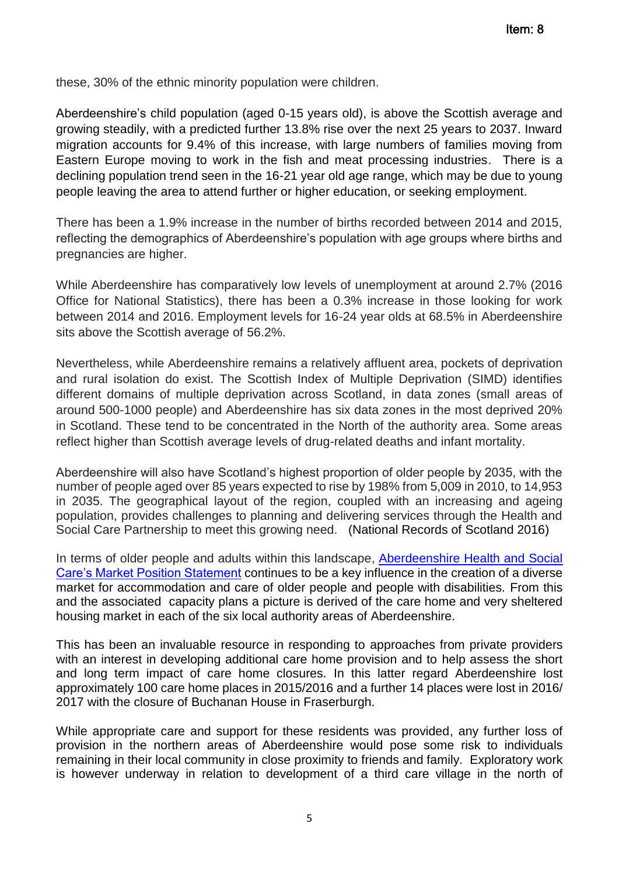these, 30% of the ethnic minority population were children.

Aberdeenshire's child population (aged 0-15 years old), is above the Scottish average and growing steadily, with a predicted further 13.8% rise over the next 25 years to 2037. Inward migration accounts for 9.4% of this increase, with large numbers of families moving from Eastern Europe moving to work in the fish and meat processing industries. There is a declining population trend seen in the 16-21 year old age range, which may be due to young people leaving the area to attend further or higher education, or seeking employment.

There has been a 1.9% increase in the number of births recorded between 2014 and 2015, reflecting the demographics of Aberdeenshire's population with age groups where births and pregnancies are higher.

While Aberdeenshire has comparatively low levels of unemployment at around 2.7% (2016 Office for National Statistics), there has been a 0.3% increase in those looking for work between 2014 and 2016. Employment levels for 16-24 year olds at 68.5% in Aberdeenshire sits above the Scottish average of 56.2%.

Nevertheless, while Aberdeenshire remains a relatively affluent area, pockets of deprivation and rural isolation do exist. The Scottish Index of Multiple Deprivation (SIMD) identifies different domains of multiple deprivation across Scotland, in data zones (small areas of around 500-1000 people) and Aberdeenshire has six data zones in the most deprived 20% in Scotland. These tend to be concentrated in the North of the authority area. Some areas reflect higher than Scottish average levels of drug-related deaths and infant mortality.

Aberdeenshire will also have Scotland's highest proportion of older people by 2035, with the number of people aged over 85 years expected to rise by 198% from 5,009 in 2010, to 14,953 in 2035. The geographical layout of the region, coupled with an increasing and ageing population, provides challenges to planning and delivering services through the Health and Social Care Partnership to meet this growing need. [\(National Records of Scotland 2016\)](https://www.nrscotland.gov.uk/)

In terms of older people and adults within this landscape, Aberdeenshire Health and Social [Care's Market Position Statement](http://www.girfec-aberdeenshire.org/wp-content/uploads/2017/05/Market-Positioning-StatementSAllFB_.pdf) continues to be a key influence in the creation of a diverse market for accommodation and care of older people and people with disabilities. From this and the associated capacity plans a picture is derived of the care home and very sheltered housing market in each of the six local authority areas of Aberdeenshire.

This has been an invaluable resource in responding to approaches from private providers with an interest in developing additional care home provision and to help assess the short and long term impact of care home closures. In this latter regard Aberdeenshire lost approximately 100 care home places in 2015/2016 and a further 14 places were lost in 2016/ 2017 with the closure of Buchanan House in Fraserburgh.

While appropriate care and support for these residents was provided, any further loss of provision in the northern areas of Aberdeenshire would pose some risk to individuals remaining in their local community in close proximity to friends and family. Exploratory work is however underway in relation to development of a third care village in the north of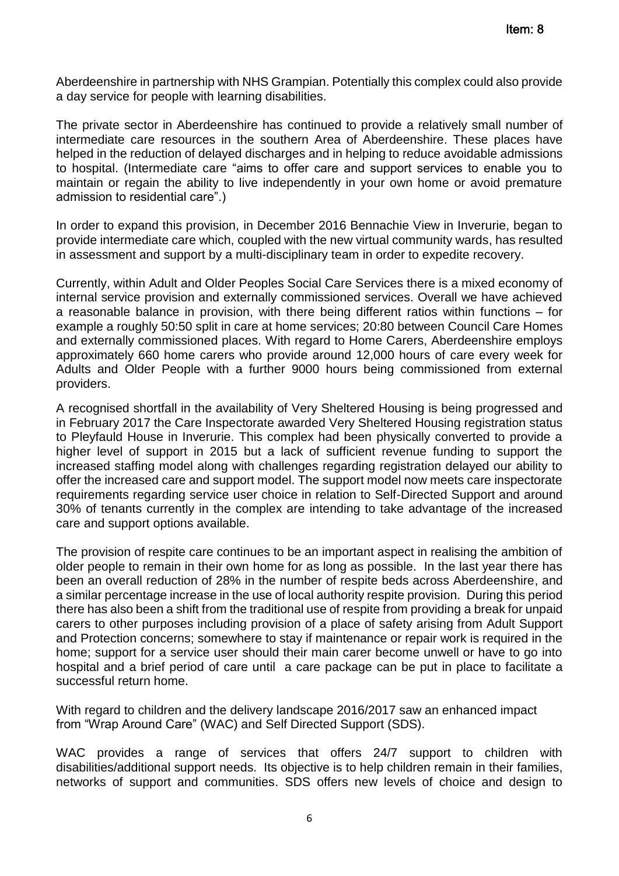Aberdeenshire in partnership with NHS Grampian. Potentially this complex could also provide a day service for people with learning disabilities.

The private sector in Aberdeenshire has continued to provide a relatively small number of intermediate care resources in the southern Area of Aberdeenshire. These places have helped in the reduction of delayed discharges and in helping to reduce avoidable admissions to hospital. (Intermediate care "aims to offer care and support services to enable you to maintain or regain the ability to live independently in your own home or avoid premature admission to residential care".)

In order to expand this provision, in December 2016 Bennachie View in Inverurie, began to provide intermediate care which, coupled with the new virtual community wards, has resulted in assessment and support by a multi-disciplinary team in order to expedite recovery.

Currently, within Adult and Older Peoples Social Care Services there is a mixed economy of internal service provision and externally commissioned services. Overall we have achieved a reasonable balance in provision, with there being different ratios within functions – for example a roughly 50:50 split in care at home services; 20:80 between Council Care Homes and externally commissioned places. With regard to Home Carers, Aberdeenshire employs approximately 660 home carers who provide around 12,000 hours of care every week for Adults and Older People with a further 9000 hours being commissioned from external providers.

A recognised shortfall in the availability of Very Sheltered Housing is being progressed and in February 2017 the Care Inspectorate awarded Very Sheltered Housing registration status to Pleyfauld House in Inverurie. This complex had been physically converted to provide a higher level of support in 2015 but a lack of sufficient revenue funding to support the increased staffing model along with challenges regarding registration delayed our ability to offer the increased care and support model. The support model now meets care inspectorate requirements regarding service user choice in relation to Self-Directed Support and around 30% of tenants currently in the complex are intending to take advantage of the increased care and support options available.

The provision of respite care continues to be an important aspect in realising the ambition of older people to remain in their own home for as long as possible. In the last year there has been an overall reduction of 28% in the number of respite beds across Aberdeenshire, and a similar percentage increase in the use of local authority respite provision. During this period there has also been a shift from the traditional use of respite from providing a break for unpaid carers to other purposes including provision of a place of safety arising from Adult Support and Protection concerns; somewhere to stay if maintenance or repair work is required in the home; support for a service user should their main carer become unwell or have to go into hospital and a brief period of care until a care package can be put in place to facilitate a successful return home.

With regard to children and the delivery landscape 2016/2017 saw an enhanced impact from "Wrap Around Care" (WAC) and Self Directed Support (SDS).

WAC provides a range of services that offers 24/7 support to children with disabilities/additional support needs. Its objective is to help children remain in their families, networks of support and communities. SDS offers new levels of choice and design to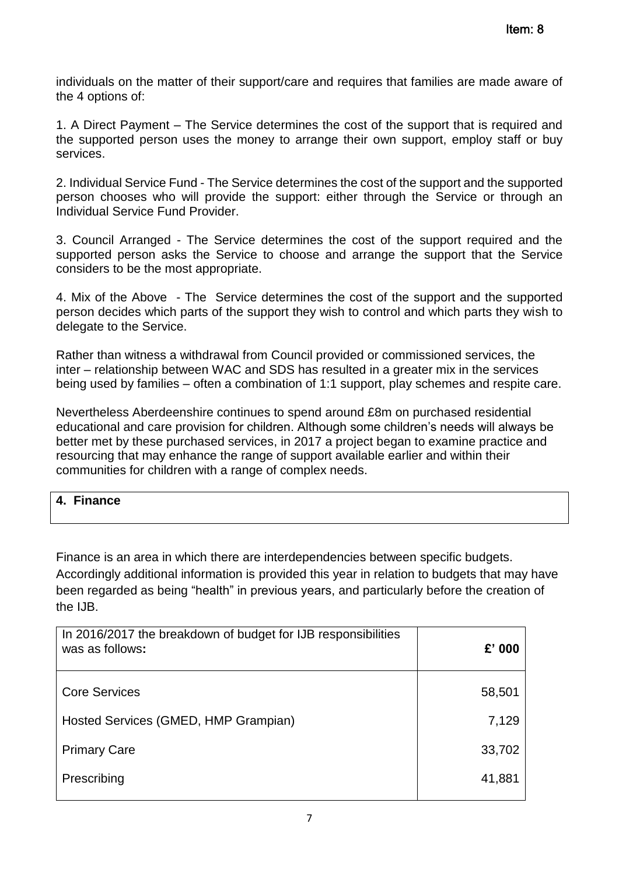individuals on the matter of their support/care and requires that families are made aware of the 4 options of:

1. A Direct Payment – The Service determines the cost of the support that is required and the supported person uses the money to arrange their own support, employ staff or buy services.

2. Individual Service Fund - The Service determines the cost of the support and the supported person chooses who will provide the support: either through the Service or through an Individual Service Fund Provider.

3. Council Arranged - The Service determines the cost of the support required and the supported person asks the Service to choose and arrange the support that the Service considers to be the most appropriate.

4. Mix of the Above - The Service determines the cost of the support and the supported person decides which parts of the support they wish to control and which parts they wish to delegate to the Service.

Rather than witness a withdrawal from Council provided or commissioned services, the inter – relationship between WAC and SDS has resulted in a greater mix in the services being used by families – often a combination of 1:1 support, play schemes and respite care.

Nevertheless Aberdeenshire continues to spend around £8m on purchased residential educational and care provision for children. Although some children's needs will always be better met by these purchased services, in 2017 a project began to examine practice and resourcing that may enhance the range of support available earlier and within their communities for children with a range of complex needs.

## **4. Finance**

Finance is an area in which there are interdependencies between specific budgets. Accordingly additional information is provided this year in relation to budgets that may have been regarded as being "health" in previous years, and particularly before the creation of the IJB.

| In 2016/2017 the breakdown of budget for IJB responsibilities<br>was as follows: | $£'$ 000 |
|----------------------------------------------------------------------------------|----------|
| <b>Core Services</b>                                                             | 58,501   |
| Hosted Services (GMED, HMP Grampian)                                             | 7,129    |
| <b>Primary Care</b>                                                              | 33,702   |
| Prescribing                                                                      | 41,881   |
|                                                                                  |          |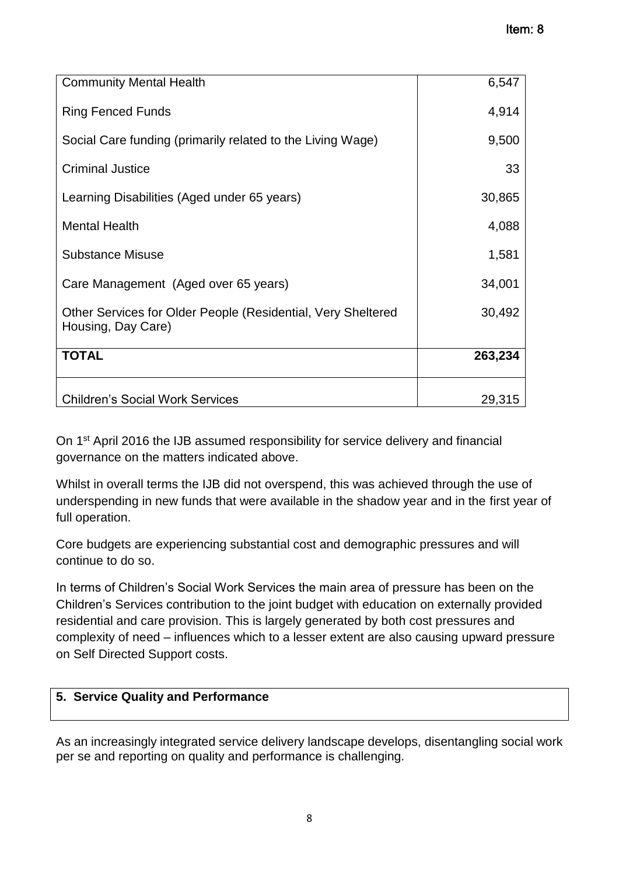| <b>Community Mental Health</b>                                                     | 6,547   |
|------------------------------------------------------------------------------------|---------|
| <b>Ring Fenced Funds</b>                                                           | 4,914   |
| Social Care funding (primarily related to the Living Wage)                         | 9,500   |
| <b>Criminal Justice</b>                                                            | 33      |
| Learning Disabilities (Aged under 65 years)                                        | 30,865  |
| <b>Mental Health</b>                                                               | 4,088   |
| <b>Substance Misuse</b>                                                            | 1,581   |
| Care Management (Aged over 65 years)                                               | 34,001  |
| Other Services for Older People (Residential, Very Sheltered<br>Housing, Day Care) | 30,492  |
| <b>TOTAL</b>                                                                       | 263,234 |
| <b>Children's Social Work Services</b>                                             | 29,315  |

On 1st April 2016 the IJB assumed responsibility for service delivery and financial governance on the matters indicated above.

Whilst in overall terms the IJB did not overspend, this was achieved through the use of underspending in new funds that were available in the shadow year and in the first year of full operation.

Core budgets are experiencing substantial cost and demographic pressures and will continue to do so.

In terms of Children's Social Work Services the main area of pressure has been on the Children's Services contribution to the joint budget with education on externally provided residential and care provision. This is largely generated by both cost pressures and complexity of need – influences which to a lesser extent are also causing upward pressure on Self Directed Support costs.

# **5. Service Quality and Performance**

As an increasingly integrated service delivery landscape develops, disentangling social work per se and reporting on quality and performance is challenging.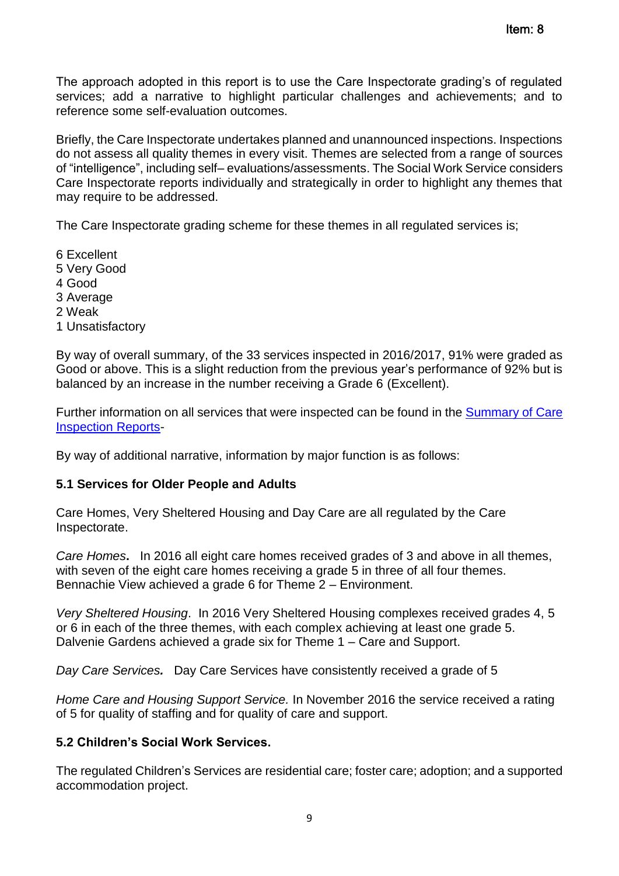The approach adopted in this report is to use the Care Inspectorate grading's of regulated services; add a narrative to highlight particular challenges and achievements; and to reference some self-evaluation outcomes.

Briefly, the Care Inspectorate undertakes planned and unannounced inspections. Inspections do not assess all quality themes in every visit. Themes are selected from a range of sources of "intelligence", including self– evaluations/assessments. The Social Work Service considers Care Inspectorate reports individually and strategically in order to highlight any themes that may require to be addressed.

The Care Inspectorate grading scheme for these themes in all regulated services is;

6 Excellent 5 Very Good 4 Good 3 Average 2 Weak 1 Unsatisfactory

By way of overall summary, of the 33 services inspected in 2016/2017, 91% were graded as Good or above. This is a slight reduction from the previous year's performance of 92% but is balanced by an increase in the number receiving a Grade 6 (Excellent).

Further information on all services that were inspected can be found in the [Summary of Care](http://www.girfec-aberdeenshire.org/wp-content/uploads/2017/05/APPENDIX-1-CARE-INSPECTION-201617.docx)  [Inspection Reports-](http://www.girfec-aberdeenshire.org/wp-content/uploads/2017/05/APPENDIX-1-CARE-INSPECTION-201617.docx)

By way of additional narrative, information by major function is as follows:

## **5.1 Services for Older People and Adults**

Care Homes, Very Sheltered Housing and Day Care are all regulated by the Care Inspectorate.

*Care Homes***.** In 2016 all eight care homes received grades of 3 and above in all themes, with seven of the eight care homes receiving a grade 5 in three of all four themes. Bennachie View achieved a grade 6 for Theme 2 – Environment.

*Very Sheltered Housing*. In 2016 Very Sheltered Housing complexes received grades 4, 5 or 6 in each of the three themes, with each complex achieving at least one grade 5. Dalvenie Gardens achieved a grade six for Theme 1 – Care and Support.

*Day Care Services.* Day Care Services have consistently received a grade of 5

*Home Care and Housing Support Service.* In November 2016 the service received a rating of 5 for quality of staffing and for quality of care and support.

## **5.2 Children's Social Work Services.**

The regulated Children's Services are residential care; foster care; adoption; and a supported accommodation project.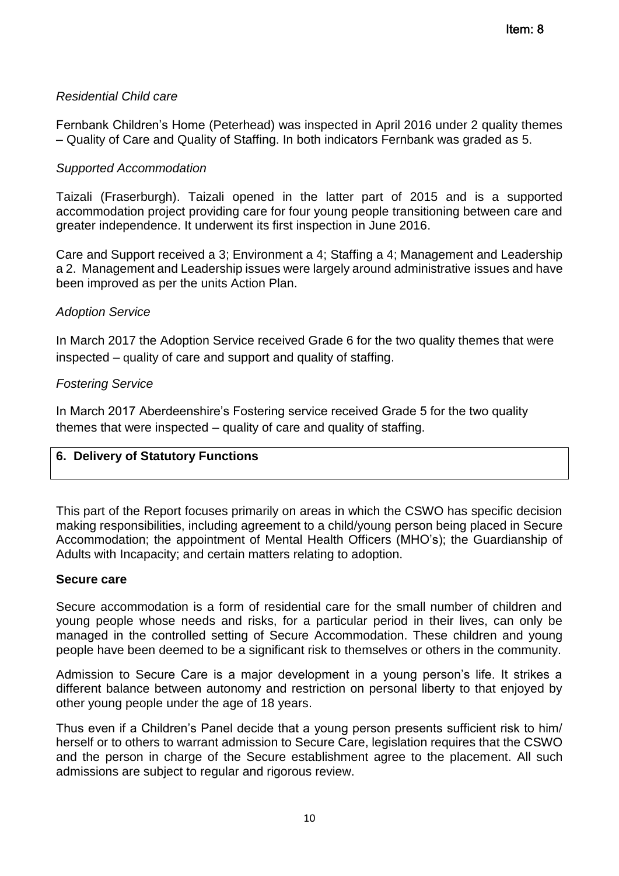# *Residential Child care*

Fernbank Children's Home (Peterhead) was inspected in April 2016 under 2 quality themes – Quality of Care and Quality of Staffing. In both indicators Fernbank was graded as 5.

## *Supported Accommodation*

Taizali (Fraserburgh). Taizali opened in the latter part of 2015 and is a supported accommodation project providing care for four young people transitioning between care and greater independence. It underwent its first inspection in June 2016.

Care and Support received a 3; Environment a 4; Staffing a 4; Management and Leadership a 2. Management and Leadership issues were largely around administrative issues and have been improved as per the units Action Plan.

## *Adoption Service*

In March 2017 the Adoption Service received Grade 6 for the two quality themes that were inspected – quality of care and support and quality of staffing.

## *Fostering Service*

In March 2017 Aberdeenshire's Fostering service received Grade 5 for the two quality themes that were inspected – quality of care and quality of staffing.

## **6. Delivery of Statutory Functions**

This part of the Report focuses primarily on areas in which the CSWO has specific decision making responsibilities, including agreement to a child/young person being placed in Secure Accommodation; the appointment of Mental Health Officers (MHO's); the Guardianship of Adults with Incapacity; and certain matters relating to adoption.

## **Secure care**

Secure accommodation is a form of residential care for the small number of children and young people whose needs and risks, for a particular period in their lives, can only be managed in the controlled setting of Secure Accommodation. These children and young people have been deemed to be a significant risk to themselves or others in the community.

Admission to Secure Care is a major development in a young person's life. It strikes a different balance between autonomy and restriction on personal liberty to that enjoyed by other young people under the age of 18 years.

Thus even if a Children's Panel decide that a young person presents sufficient risk to him/ herself or to others to warrant admission to Secure Care, legislation requires that the CSWO and the person in charge of the Secure establishment agree to the placement. All such admissions are subject to regular and rigorous review.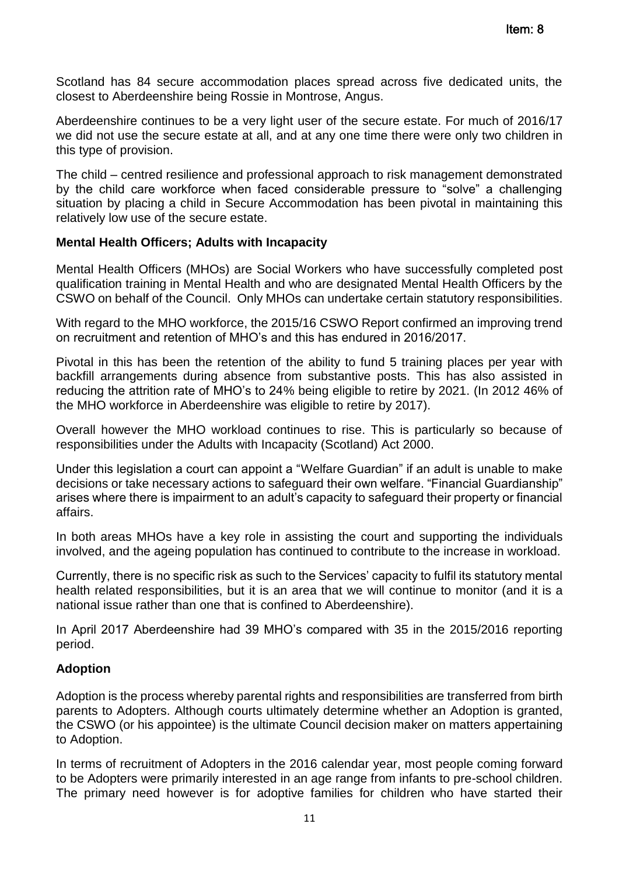Scotland has 84 secure accommodation places spread across five dedicated units, the closest to Aberdeenshire being Rossie in Montrose, Angus.

Aberdeenshire continues to be a very light user of the secure estate. For much of 2016/17 we did not use the secure estate at all, and at any one time there were only two children in this type of provision.

The child – centred resilience and professional approach to risk management demonstrated by the child care workforce when faced considerable pressure to "solve" a challenging situation by placing a child in Secure Accommodation has been pivotal in maintaining this relatively low use of the secure estate.

#### **Mental Health Officers; Adults with Incapacity**

Mental Health Officers (MHOs) are Social Workers who have successfully completed post qualification training in Mental Health and who are designated Mental Health Officers by the CSWO on behalf of the Council. Only MHOs can undertake certain statutory responsibilities.

With regard to the MHO workforce, the 2015/16 CSWO Report confirmed an improving trend on recruitment and retention of MHO's and this has endured in 2016/2017.

Pivotal in this has been the retention of the ability to fund 5 training places per year with backfill arrangements during absence from substantive posts. This has also assisted in reducing the attrition rate of MHO's to 24% being eligible to retire by 2021. (In 2012 46% of the MHO workforce in Aberdeenshire was eligible to retire by 2017).

Overall however the MHO workload continues to rise. This is particularly so because of responsibilities under the Adults with Incapacity (Scotland) Act 2000.

Under this legislation a court can appoint a "Welfare Guardian" if an adult is unable to make decisions or take necessary actions to safeguard their own welfare. "Financial Guardianship" arises where there is impairment to an adult's capacity to safeguard their property or financial affairs.

In both areas MHOs have a key role in assisting the court and supporting the individuals involved, and the ageing population has continued to contribute to the increase in workload.

Currently, there is no specific risk as such to the Services' capacity to fulfil its statutory mental health related responsibilities, but it is an area that we will continue to monitor (and it is a national issue rather than one that is confined to Aberdeenshire).

In April 2017 Aberdeenshire had 39 MHO's compared with 35 in the 2015/2016 reporting period.

#### **Adoption**

Adoption is the process whereby parental rights and responsibilities are transferred from birth parents to Adopters. Although courts ultimately determine whether an Adoption is granted, the CSWO (or his appointee) is the ultimate Council decision maker on matters appertaining to Adoption.

In terms of recruitment of Adopters in the 2016 calendar year, most people coming forward to be Adopters were primarily interested in an age range from infants to pre-school children. The primary need however is for adoptive families for children who have started their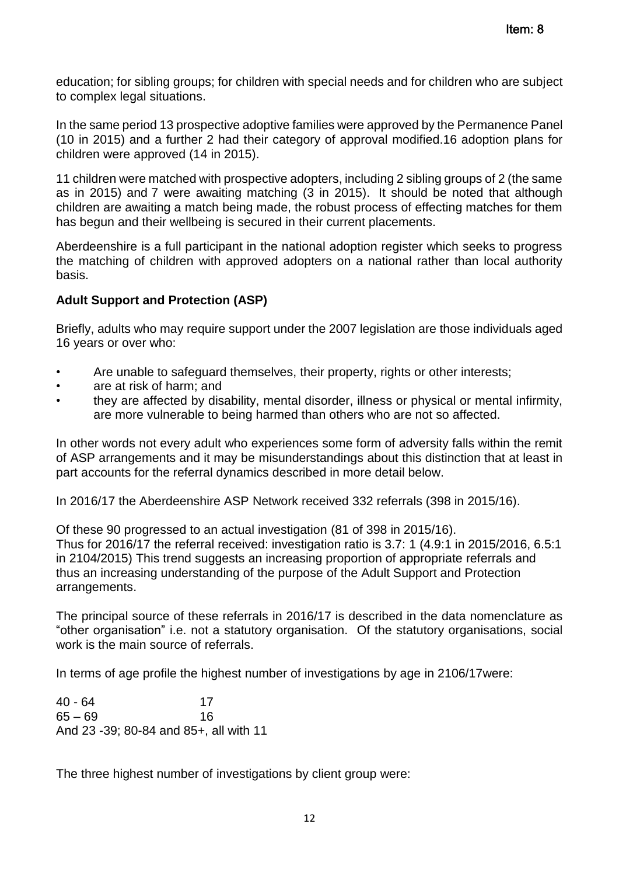education; for sibling groups; for children with special needs and for children who are subject to complex legal situations.

In the same period 13 prospective adoptive families were approved by the Permanence Panel (10 in 2015) and a further 2 had their category of approval modified.16 adoption plans for children were approved (14 in 2015).

11 children were matched with prospective adopters, including 2 sibling groups of 2 (the same as in 2015) and 7 were awaiting matching (3 in 2015). It should be noted that although children are awaiting a match being made, the robust process of effecting matches for them has begun and their wellbeing is secured in their current placements.

Aberdeenshire is a full participant in the national adoption register which seeks to progress the matching of children with approved adopters on a national rather than local authority basis.

## **Adult Support and Protection (ASP)**

Briefly, adults who may require support under the 2007 legislation are those individuals aged 16 years or over who:

- Are unable to safeguard themselves, their property, rights or other interests;
- are at risk of harm; and
- they are affected by disability, mental disorder, illness or physical or mental infirmity, are more vulnerable to being harmed than others who are not so affected.

In other words not every adult who experiences some form of adversity falls within the remit of ASP arrangements and it may be misunderstandings about this distinction that at least in part accounts for the referral dynamics described in more detail below.

In 2016/17 the Aberdeenshire ASP Network received 332 referrals (398 in 2015/16).

Of these 90 progressed to an actual investigation (81 of 398 in 2015/16). Thus for 2016/17 the referral received: investigation ratio is 3.7: 1 (4.9:1 in 2015/2016, 6.5:1 in 2104/2015) This trend suggests an increasing proportion of appropriate referrals and thus an increasing understanding of the purpose of the Adult Support and Protection arrangements.

The principal source of these referrals in 2016/17 is described in the data nomenclature as "other organisation" i.e. not a statutory organisation. Of the statutory organisations, social work is the main source of referrals.

In terms of age profile the highest number of investigations by age in 2106/17were:

40 - 64 17 65 – 69 16 And 23 -39; 80-84 and 85+, all with 11

The three highest number of investigations by client group were: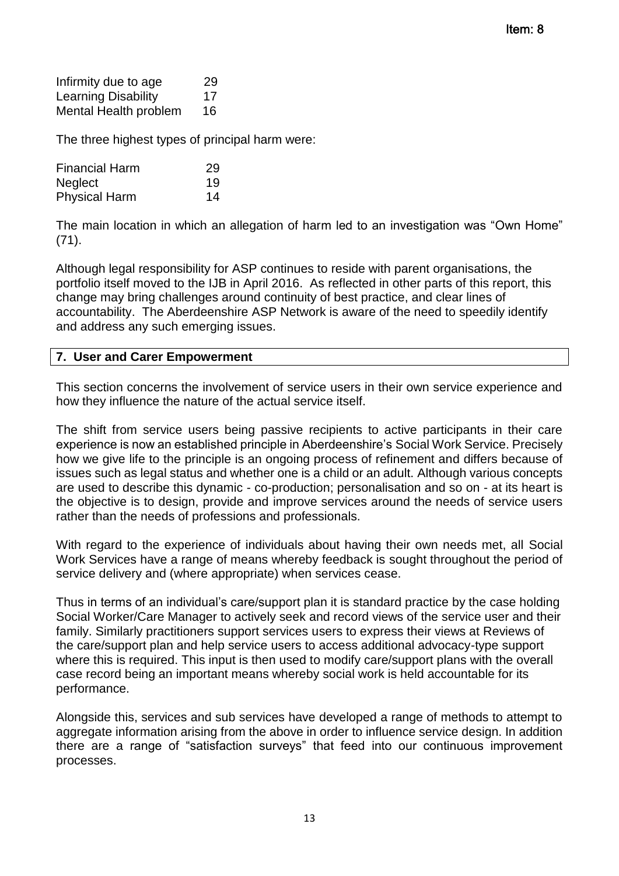| Infirmity due to age       | 29 |
|----------------------------|----|
| <b>Learning Disability</b> | 17 |
| Mental Health problem      | 16 |

The three highest types of principal harm were:

| <b>Financial Harm</b> | 29 |
|-----------------------|----|
| <b>Neglect</b>        | 19 |
| <b>Physical Harm</b>  | 14 |

The main location in which an allegation of harm led to an investigation was "Own Home" (71).

Although legal responsibility for ASP continues to reside with parent organisations, the portfolio itself moved to the IJB in April 2016. As reflected in other parts of this report, this change may bring challenges around continuity of best practice, and clear lines of accountability. The Aberdeenshire ASP Network is aware of the need to speedily identify and address any such emerging issues.

#### **7. User and Carer Empowerment**

This section concerns the involvement of service users in their own service experience and how they influence the nature of the actual service itself.

The shift from service users being passive recipients to active participants in their care experience is now an established principle in Aberdeenshire's Social Work Service. Precisely how we give life to the principle is an ongoing process of refinement and differs because of issues such as legal status and whether one is a child or an adult. Although various concepts are used to describe this dynamic - co-production; personalisation and so on - at its heart is the objective is to design, provide and improve services around the needs of service users rather than the needs of professions and professionals.

With regard to the experience of individuals about having their own needs met, all Social Work Services have a range of means whereby feedback is sought throughout the period of service delivery and (where appropriate) when services cease.

Thus in terms of an individual's care/support plan it is standard practice by the case holding Social Worker/Care Manager to actively seek and record views of the service user and their family. Similarly practitioners support services users to express their views at Reviews of the care/support plan and help service users to access additional advocacy-type support where this is required. This input is then used to modify care/support plans with the overall case record being an important means whereby social work is held accountable for its performance.

Alongside this, services and sub services have developed a range of methods to attempt to aggregate information arising from the above in order to influence service design. In addition there are a range of "satisfaction surveys" that feed into our continuous improvement processes.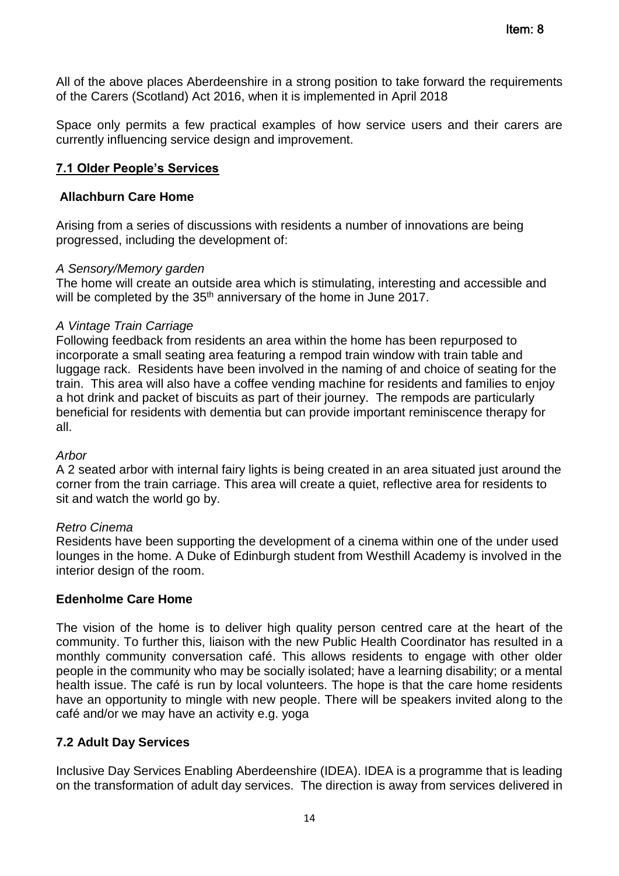All of the above places Aberdeenshire in a strong position to take forward the requirements of the Carers (Scotland) Act 2016, when it is implemented in April 2018

Space only permits a few practical examples of how service users and their carers are currently influencing service design and improvement.

## **7.1 Older People's Services**

#### **Allachburn Care Home**

Arising from a series of discussions with residents a number of innovations are being progressed, including the development of:

#### *A Sensory/Memory garden*

The home will create an outside area which is stimulating, interesting and accessible and will be completed by the 35<sup>th</sup> anniversary of the home in June 2017.

#### *A Vintage Train Carriage*

Following feedback from residents an area within the home has been repurposed to incorporate a small seating area featuring a rempod train window with train table and luggage rack. Residents have been involved in the naming of and choice of seating for the train. This area will also have a coffee vending machine for residents and families to enjoy a hot drink and packet of biscuits as part of their journey. The rempods are particularly beneficial for residents with dementia but can provide important reminiscence therapy for all.

#### *Arbor*

A 2 seated arbor with internal fairy lights is being created in an area situated just around the corner from the train carriage. This area will create a quiet, reflective area for residents to sit and watch the world go by.

#### *Retro Cinema*

Residents have been supporting the development of a cinema within one of the under used lounges in the home. A Duke of Edinburgh student from Westhill Academy is involved in the interior design of the room.

## **Edenholme Care Home**

The vision of the home is to deliver high quality person centred care at the heart of the community. To further this, liaison with the new Public Health Coordinator has resulted in a monthly community conversation café. This allows residents to engage with other older people in the community who may be socially isolated; have a learning disability; or a mental health issue. The café is run by local volunteers. The hope is that the care home residents have an opportunity to mingle with new people. There will be speakers invited along to the café and/or we may have an activity e.g. yoga

## **7.2 Adult Day Services**

Inclusive Day Services Enabling Aberdeenshire (IDEA). IDEA is a programme that is leading on the transformation of adult day services. The direction is away from services delivered in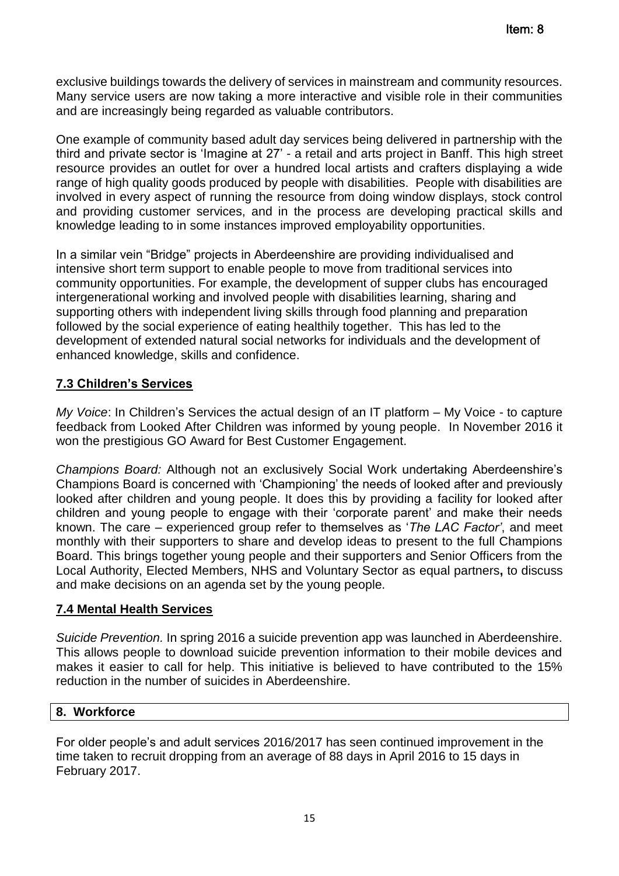exclusive buildings towards the delivery of services in mainstream and community resources. Many service users are now taking a more interactive and visible role in their communities and are increasingly being regarded as valuable contributors.

One example of community based adult day services being delivered in partnership with the third and private sector is 'Imagine at 27' - a retail and arts project in Banff. This high street resource provides an outlet for over a hundred local artists and crafters displaying a wide range of high quality goods produced by people with disabilities. People with disabilities are involved in every aspect of running the resource from doing window displays, stock control and providing customer services, and in the process are developing practical skills and knowledge leading to in some instances improved employability opportunities.

In a similar vein "Bridge" projects in Aberdeenshire are providing individualised and intensive short term support to enable people to move from traditional services into community opportunities. For example, the development of supper clubs has encouraged intergenerational working and involved people with disabilities learning, sharing and supporting others with independent living skills through food planning and preparation followed by the social experience of eating healthily together. This has led to the development of extended natural social networks for individuals and the development of enhanced knowledge, skills and confidence.

# **7.3 Children's Services**

*My Voice*: In Children's Services the actual design of an IT platform – My Voice - to capture feedback from Looked After Children was informed by young people. In November 2016 it won the prestigious GO Award for Best Customer Engagement.

*Champions Board:* Although not an exclusively Social Work undertaking Aberdeenshire's Champions Board is concerned with 'Championing' the needs of looked after and previously looked after children and young people. It does this by providing a facility for looked after children and young people to engage with their 'corporate parent' and make their needs known. The care – experienced group refer to themselves as '*The LAC Factor'*, and meet monthly with their supporters to share and develop ideas to present to the full Champions Board. This brings together young people and their supporters and Senior Officers from the Local Authority, Elected Members, NHS and Voluntary Sector as equal partners**,** to discuss and make decisions on an agenda set by the young people.

## **7.4 Mental Health Services**

*Suicide Prevention.* In spring 2016 a suicide prevention app was launched in Aberdeenshire. This allows people to download suicide prevention information to their mobile devices and makes it easier to call for help. This initiative is believed to have contributed to the 15% reduction in the number of suicides in Aberdeenshire.

## **8. Workforce**

For older people's and adult services 2016/2017 has seen continued improvement in the time taken to recruit dropping from an average of 88 days in April 2016 to 15 days in February 2017.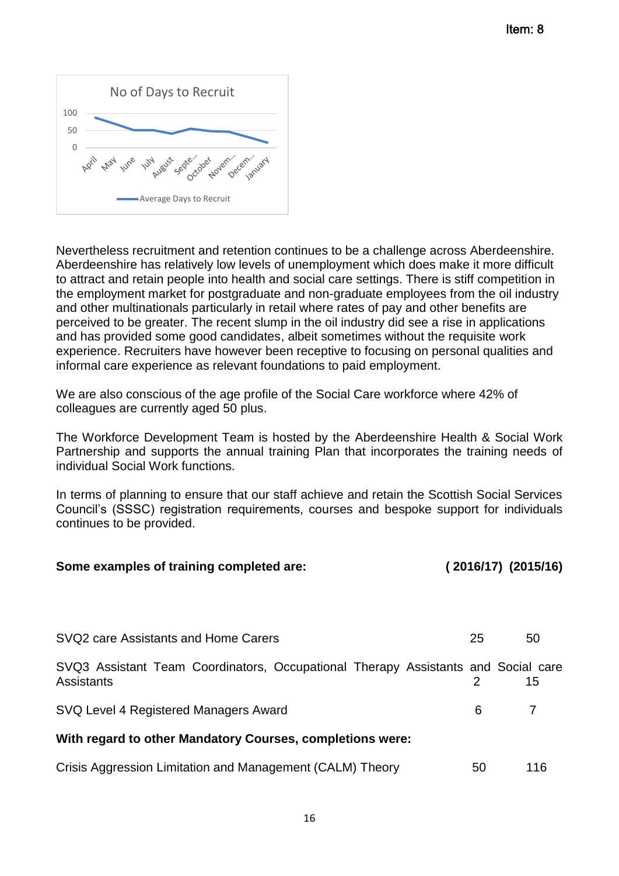

Nevertheless recruitment and retention continues to be a challenge across Aberdeenshire. Aberdeenshire has relatively low levels of unemployment which does make it more difficult to attract and retain people into health and social care settings. There is stiff competition in the employment market for postgraduate and non-graduate employees from the oil industry and other multinationals particularly in retail where rates of pay and other benefits are perceived to be greater. The recent slump in the oil industry did see a rise in applications and has provided some good candidates, albeit sometimes without the requisite work experience. Recruiters have however been receptive to focusing on personal qualities and informal care experience as relevant foundations to paid employment.

We are also conscious of the age profile of the Social Care workforce where 42% of colleagues are currently aged 50 plus.

The Workforce Development Team is hosted by the Aberdeenshire Health & Social Work Partnership and supports the annual training Plan that incorporates the training needs of individual Social Work functions.

In terms of planning to ensure that our staff achieve and retain the Scottish Social Services Council's (SSSC) registration requirements, courses and bespoke support for individuals continues to be provided.

| Some examples of training completed are:                                                        | $(2016/17)$ $(2015/16)$ |     |  |
|-------------------------------------------------------------------------------------------------|-------------------------|-----|--|
|                                                                                                 |                         |     |  |
| SVQ2 care Assistants and Home Carers                                                            | 25                      | 50  |  |
| SVQ3 Assistant Team Coordinators, Occupational Therapy Assistants and Social care<br>Assistants | 2                       | 15  |  |
| SVQ Level 4 Registered Managers Award                                                           | 6                       |     |  |
| With regard to other Mandatory Courses, completions were:                                       |                         |     |  |
| Crisis Aggression Limitation and Management (CALM) Theory                                       | 50                      | 116 |  |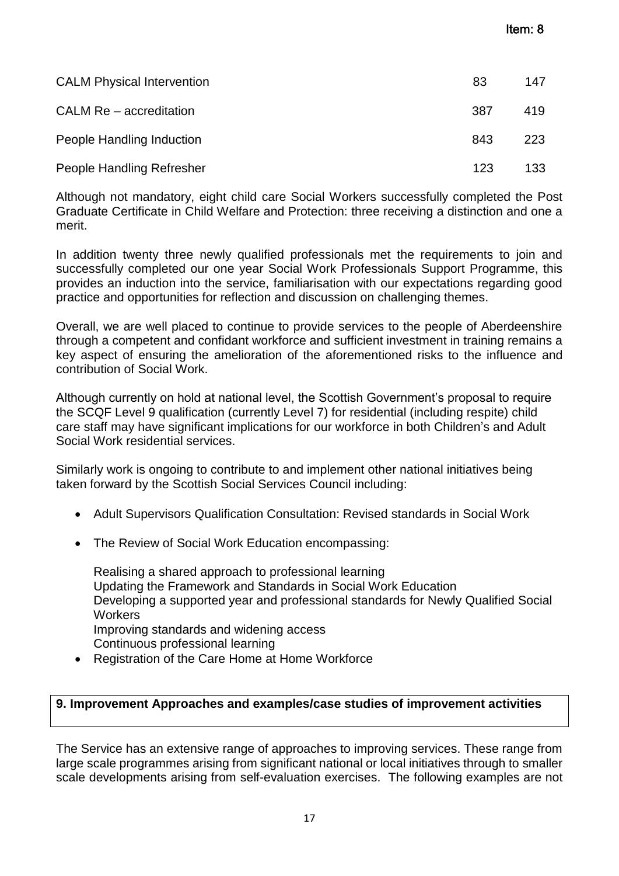| <b>CALM Physical Intervention</b> | 83  | 147 |
|-----------------------------------|-----|-----|
| CALM Re - accreditation           | 387 | 419 |
| People Handling Induction         | 843 | 223 |
| People Handling Refresher         | 123 | 133 |

Although not mandatory, eight child care Social Workers successfully completed the Post Graduate Certificate in Child Welfare and Protection: three receiving a distinction and one a merit.

In addition twenty three newly qualified professionals met the requirements to join and successfully completed our one year Social Work Professionals Support Programme, this provides an induction into the service, familiarisation with our expectations regarding good practice and opportunities for reflection and discussion on challenging themes.

Overall, we are well placed to continue to provide services to the people of Aberdeenshire through a competent and confidant workforce and sufficient investment in training remains a key aspect of ensuring the amelioration of the aforementioned risks to the influence and contribution of Social Work.

Although currently on hold at national level, the Scottish Government's proposal to require the SCQF Level 9 qualification (currently Level 7) for residential (including respite) child care staff may have significant implications for our workforce in both Children's and Adult Social Work residential services.

Similarly work is ongoing to contribute to and implement other national initiatives being taken forward by the Scottish Social Services Council including:

- Adult Supervisors Qualification Consultation: Revised standards in Social Work
- The Review of Social Work Education encompassing:

Realising a shared approach to professional learning Updating the Framework and Standards in Social Work Education Developing a supported year and professional standards for Newly Qualified Social **Workers** Improving standards and widening access Continuous professional learning

Registration of the Care Home at Home Workforce

## **9. Improvement Approaches and examples/case studies of improvement activities**

The Service has an extensive range of approaches to improving services. These range from large scale programmes arising from significant national or local initiatives through to smaller scale developments arising from self-evaluation exercises. The following examples are not